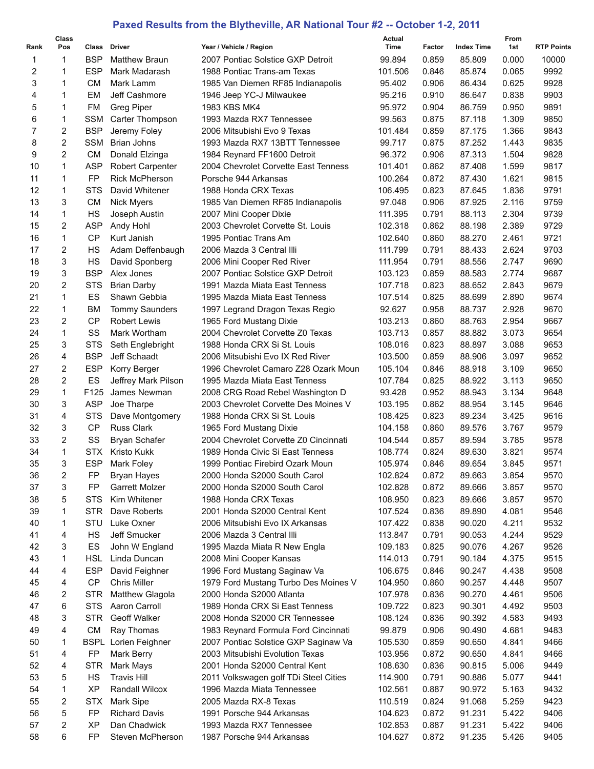## **Paxed Results from the Blytheville, AR National Tour #2 -- October 1-2, 2011**

|          | Class          |                  |                                   |                                                                     | Actual  |                |                   | From           |                   |
|----------|----------------|------------------|-----------------------------------|---------------------------------------------------------------------|---------|----------------|-------------------|----------------|-------------------|
| Rank     | Pos            |                  | Class Driver                      | Year / Vehicle / Region                                             | Time    | Factor         | <b>Index Time</b> | 1st            | <b>RTP Points</b> |
| 1        | 1              | <b>BSP</b>       | <b>Matthew Braun</b>              | 2007 Pontiac Solstice GXP Detroit                                   | 99.894  | 0.859          | 85.809            | 0.000          | 10000             |
| 2        | 1              | <b>ESP</b>       | Mark Madarash                     | 1988 Pontiac Trans-am Texas                                         | 101.506 | 0.846          | 85.874            | 0.065          | 9992              |
| 3        | 1              | СM               | Mark Lamm                         | 1985 Van Diemen RF85 Indianapolis                                   | 95.402  | 0.906          | 86.434            | 0.625          | 9928              |
| 4        | 1              | EM               | Jeff Cashmore                     | 1946 Jeep YC-J Milwaukee                                            | 95.216  | 0.910          | 86.647            | 0.838          | 9903              |
| 5        | 1              | FM               | <b>Greg Piper</b>                 | 1983 KBS MK4                                                        | 95.972  | 0.904          | 86.759            | 0.950          | 9891              |
| 6        | 1              | <b>SSM</b>       | Carter Thompson                   | 1993 Mazda RX7 Tennessee                                            | 99.563  | 0.875          | 87.118            | 1.309          | 9850              |
| 7        | 2              | <b>BSP</b>       | Jeremy Foley                      | 2006 Mitsubishi Evo 9 Texas                                         | 101.484 | 0.859          | 87.175            | 1.366          | 9843              |
| 8        | 2              | <b>SSM</b>       | <b>Brian Johns</b>                | 1993 Mazda RX7 13BTT Tennessee                                      | 99.717  | 0.875          | 87.252            | 1.443          | 9835              |
| 9        | 2              | <b>CM</b>        | Donald Elzinga                    | 1984 Reynard FF1600 Detroit                                         | 96.372  | 0.906          | 87.313            | 1.504          | 9828              |
| 10       | 1              | <b>ASP</b>       | <b>Robert Carpenter</b>           | 2004 Chevrolet Corvette East Tenness                                | 101.401 | 0.862          | 87.408            | 1.599          | 9817              |
| 11       | 1              | FP               | <b>Rick McPherson</b>             | Porsche 944 Arkansas                                                | 100.264 | 0.872          | 87.430            | 1.621          | 9815              |
| 12       | 1              | <b>STS</b>       | David Whitener                    | 1988 Honda CRX Texas                                                | 106.495 | 0.823          | 87.645            | 1.836          | 9791              |
| 13       | 3              | <b>CM</b>        | <b>Nick Myers</b>                 | 1985 Van Diemen RF85 Indianapolis                                   | 97.048  | 0.906          | 87.925            | 2.116          | 9759              |
| 14       | 1              | <b>HS</b>        | Joseph Austin                     | 2007 Mini Cooper Dixie                                              | 111.395 | 0.791          | 88.113            | 2.304          | 9739              |
| 15       | 2              | <b>ASP</b>       | Andy Hohl                         | 2003 Chevrolet Corvette St. Louis                                   | 102.318 | 0.862          | 88.198            | 2.389          | 9729              |
| 16       | 1              | CP               | Kurt Janish                       | 1995 Pontiac Trans Am                                               | 102.640 | 0.860          | 88.270            | 2.461          | 9721              |
| 17       | 2              | <b>HS</b>        | Adam Deffenbaugh                  | 2006 Mazda 3 Central Illi                                           | 111.799 | 0.791          | 88.433            | 2.624          | 9703              |
| 18       | 3              | <b>HS</b>        | David Sponberg                    | 2006 Mini Cooper Red River                                          | 111.954 | 0.791          | 88.556            | 2.747          | 9690              |
| 19       | 3              | <b>BSP</b>       | Alex Jones                        | 2007 Pontiac Solstice GXP Detroit                                   | 103.123 | 0.859          | 88.583            | 2.774          | 9687              |
| 20       | $\overline{c}$ | <b>STS</b>       | <b>Brian Darby</b>                | 1991 Mazda Miata East Tenness                                       | 107.718 | 0.823          | 88.652            | 2.843          | 9679              |
| 21       | $\mathbf{1}$   | ES               | Shawn Gebbia                      | 1995 Mazda Miata East Tenness                                       | 107.514 | 0.825          | 88.699            | 2.890          | 9674              |
| 22       | 1              | <b>BM</b>        | <b>Tommy Saunders</b>             | 1997 Legrand Dragon Texas Regio                                     | 92.627  | 0.958          | 88.737            | 2.928          | 9670              |
| 23       | 2              | <b>CP</b>        | <b>Robert Lewis</b>               | 1965 Ford Mustang Dixie                                             | 103.213 | 0.860          | 88.763            | 2.954          | 9667              |
| 24       | 1              | SS               | Mark Wortham                      | 2004 Chevrolet Corvette Z0 Texas                                    | 103.713 | 0.857          | 88.882            | 3.073          | 9654              |
| 25       | 3              | <b>STS</b>       | Seth Englebright                  | 1988 Honda CRX Si St. Louis                                         | 108.016 | 0.823          | 88.897            | 3.088          | 9653              |
| 26       | 4              | <b>BSP</b>       | Jeff Schaadt                      | 2006 Mitsubishi Evo IX Red River                                    | 103.500 | 0.859          | 88.906            | 3.097          | 9652              |
| 27       | 2              | <b>ESP</b>       | Korry Berger                      | 1996 Chevrolet Camaro Z28 Ozark Moun                                | 105.104 | 0.846          | 88.918            | 3.109          | 9650              |
| 28       | 2              | ES               | Jeffrey Mark Pilson               | 1995 Mazda Miata East Tenness                                       | 107.784 | 0.825          | 88.922            | 3.113          | 9650              |
| 29       | 1              | F125             | James Newman                      | 2008 CRG Road Rebel Washington D                                    | 93.428  | 0.952          | 88.943            | 3.134          | 9648              |
| 30       | 3              | <b>ASP</b>       | Joe Tharpe                        | 2003 Chevrolet Corvette Des Moines V                                | 103.195 | 0.862          | 88.954            | 3.145          | 9646              |
| 31       | 4              | <b>STS</b>       | Dave Montgomery                   | 1988 Honda CRX Si St. Louis                                         | 108.425 | 0.823          | 89.234            | 3.425          | 9616              |
| 32       | 3              | <b>CP</b>        | <b>Russ Clark</b>                 | 1965 Ford Mustang Dixie                                             | 104.158 | 0.860          | 89.576            | 3.767          | 9579              |
| 33       | 2              | SS               | <b>Bryan Schafer</b>              | 2004 Chevrolet Corvette Z0 Cincinnati                               | 104.544 | 0.857          | 89.594            | 3.785          | 9578              |
| 34       | 1              | <b>STX</b>       | <b>Kristo Kukk</b>                | 1989 Honda Civic Si East Tenness                                    | 108.774 | 0.824          | 89.630            | 3.821          | 9574              |
| 35       | 3              | <b>ESP</b>       | Mark Foley                        | 1999 Pontiac Firebird Ozark Moun                                    | 105.974 | 0.846          | 89.654            | 3.845          | 9571              |
| 36       | 2              | FP               | <b>Bryan Hayes</b>                | 2000 Honda S2000 South Carol                                        | 102.824 | 0.872          | 89.663            | 3.854          | 9570              |
| 37       | 3              | FP               | Garrett Molzer                    | 2000 Honda S2000 South Carol                                        | 102.828 | 0.872          | 89.666            | 3.857          | 9570              |
| 38       | 5              | <b>STS</b>       | Kim Whitener                      | 1988 Honda CRX Texas                                                | 108.950 | 0.823          | 89.666            | 3.857          | 9570              |
| 39       | 1              | <b>STR</b>       | Dave Roberts                      | 2001 Honda S2000 Central Kent                                       | 107.524 | 0.836          | 89.890            | 4.081          | 9546              |
| 40       | 1              | STU              | Luke Oxner                        | 2006 Mitsubishi Evo IX Arkansas                                     | 107.422 | 0.838          | 90.020            | 4.211          | 9532              |
| 41       | 4              | <b>HS</b>        | Jeff Smucker                      | 2006 Mazda 3 Central Illi                                           | 113.847 | 0.791          | 90.053            | 4.244          | 9529              |
| 42       | 3              | ES               | John W England                    | 1995 Mazda Miata R New Engla                                        | 109.183 | 0.825          | 90.076            | 4.267          | 9526              |
| 43       | 1              | <b>HSL</b>       | Linda Duncan                      | 2008 Mini Cooper Kansas                                             | 114.013 | 0.791          | 90.184            | 4.375          | 9515              |
| 44       | 4              | <b>ESP</b>       | David Feighner                    | 1996 Ford Mustang Saginaw Va                                        | 106.675 | 0.846          | 90.247            | 4.438          | 9508              |
| 45       | 4              | CP               | <b>Chris Miller</b>               | 1979 Ford Mustang Turbo Des Moines V                                | 104.950 | 0.860          | 90.257            | 4.448          | 9507              |
| 46       | 2              | <b>STR</b>       | Matthew Glagola                   | 2000 Honda S2000 Atlanta                                            | 107.978 | 0.836          | 90.270            | 4.461          | 9506              |
| 47       | 6              | <b>STS</b>       | Aaron Carroll                     | 1989 Honda CRX Si East Tenness                                      | 109.722 | 0.823          | 90.301            | 4.492          | 9503              |
| 48       | 3              | <b>STR</b>       | Geoff Walker                      | 2008 Honda S2000 CR Tennessee                                       | 108.124 | 0.836          | 90.392            | 4.583          | 9493              |
| 49       | 4              | CM               | Ray Thomas                        | 1983 Reynard Formula Ford Cincinnati                                | 99.879  | 0.906          | 90.490            | 4.681          | 9483              |
| 50       | 1              | <b>BSPL</b>      | Lorien Feighner                   | 2007 Pontiac Solstice GXP Saginaw Va                                | 105.530 | 0.859          | 90.650            | 4.841          | 9466              |
| 51       | 4              | FP               | Mark Berry                        | 2003 Mitsubishi Evolution Texas                                     | 103.956 | 0.872          | 90.650            | 4.841          | 9466              |
| 52       | 4              | <b>STR</b>       | Mark Mays                         | 2001 Honda S2000 Central Kent                                       | 108.630 | 0.836          | 90.815            | 5.006          | 9449              |
| 53       | 5              | HS               | <b>Travis Hill</b>                |                                                                     | 114.900 | 0.791          | 90.886            | 5.077          | 9441              |
| 54       | 1              | XP               | Randall Wilcox                    | 2011 Volkswagen golf TDi Steel Cities<br>1996 Mazda Miata Tennessee | 102.561 | 0.887          | 90.972            | 5.163          | 9432              |
|          | 2              |                  |                                   |                                                                     | 110.519 |                |                   |                |                   |
| 55<br>56 | 5              | <b>STX</b><br>FP | Mark Sipe<br><b>Richard Davis</b> | 2005 Mazda RX-8 Texas<br>1991 Porsche 944 Arkansas                  | 104.623 | 0.824<br>0.872 | 91.068<br>91.231  | 5.259<br>5.422 | 9423<br>9406      |
| 57       | 2              | XP               | Dan Chadwick                      | 1993 Mazda RX7 Tennessee                                            | 102.853 | 0.887          | 91.231            | 5.422          | 9406              |
|          | 6              | FP               |                                   |                                                                     |         |                |                   |                |                   |
| 58       |                |                  | Steven McPherson                  | 1987 Porsche 944 Arkansas                                           | 104.627 | 0.872          | 91.235            | 5.426          | 9405              |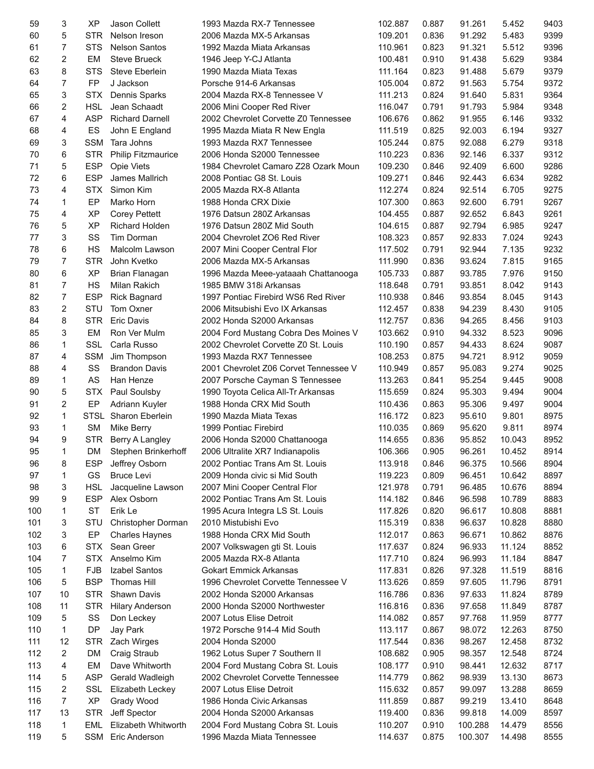| 59  | 3              | <b>XP</b>  | Jason Collett             | 1993 Mazda RX-7 Tennessee             | 102.887 | 0.887 | 91.261  | 5.452  | 9403 |
|-----|----------------|------------|---------------------------|---------------------------------------|---------|-------|---------|--------|------|
| 60  | 5              | <b>STR</b> | Nelson Ireson             | 2006 Mazda MX-5 Arkansas              | 109.201 | 0.836 | 91.292  | 5.483  | 9399 |
| 61  | 7              | <b>STS</b> | <b>Nelson Santos</b>      | 1992 Mazda Miata Arkansas             | 110.961 | 0.823 | 91.321  | 5.512  | 9396 |
| 62  | 2              | EM         | <b>Steve Brueck</b>       | 1946 Jeep Y-CJ Atlanta                | 100.481 | 0.910 | 91.438  | 5.629  | 9384 |
| 63  | 8              | <b>STS</b> | Steve Eberlein            | 1990 Mazda Miata Texas                | 111.164 | 0.823 | 91.488  | 5.679  | 9379 |
| 64  | 7              | <b>FP</b>  | J Jackson                 | Porsche 914-6 Arkansas                | 105.004 | 0.872 | 91.563  | 5.754  | 9372 |
| 65  | 3              | <b>STX</b> | Dennis Sparks             | 2004 Mazda RX-8 Tennessee V           | 111.213 | 0.824 | 91.640  | 5.831  | 9364 |
| 66  | 2              | <b>HSL</b> | Jean Schaadt              | 2006 Mini Cooper Red River            | 116.047 | 0.791 | 91.793  | 5.984  | 9348 |
| 67  | 4              | <b>ASP</b> | <b>Richard Darnell</b>    | 2002 Chevrolet Corvette Z0 Tennessee  | 106.676 | 0.862 | 91.955  | 6.146  | 9332 |
| 68  | 4              | ES         | John E England            | 1995 Mazda Miata R New Engla          | 111.519 | 0.825 | 92.003  | 6.194  | 9327 |
| 69  | 3              | <b>SSM</b> | Tara Johns                | 1993 Mazda RX7 Tennessee              | 105.244 | 0.875 | 92.088  | 6.279  | 9318 |
| 70  | 6              | <b>STR</b> | <b>Philip Fitzmaurice</b> | 2006 Honda S2000 Tennessee            | 110.223 | 0.836 | 92.146  | 6.337  | 9312 |
| 71  | 5              | <b>ESP</b> | <b>Opie Viets</b>         | 1984 Chevrolet Camaro Z28 Ozark Moun  | 109.230 | 0.846 | 92.409  | 6.600  | 9286 |
| 72  | 6              | <b>ESP</b> | James Mallrich            | 2008 Pontiac G8 St. Louis             | 109.271 | 0.846 | 92.443  | 6.634  | 9282 |
|     |                |            |                           |                                       |         |       |         |        |      |
| 73  | 4              | <b>STX</b> | Simon Kim                 | 2005 Mazda RX-8 Atlanta               | 112.274 | 0.824 | 92.514  | 6.705  | 9275 |
| 74  | 1              | EP         | Marko Horn                | 1988 Honda CRX Dixie                  | 107.300 | 0.863 | 92.600  | 6.791  | 9267 |
| 75  | 4              | <b>XP</b>  | <b>Corey Pettett</b>      | 1976 Datsun 280Z Arkansas             | 104.455 | 0.887 | 92.652  | 6.843  | 9261 |
| 76  | 5              | <b>XP</b>  | <b>Richard Holden</b>     | 1976 Datsun 280Z Mid South            | 104.615 | 0.887 | 92.794  | 6.985  | 9247 |
| 77  | 3              | SS         | Tim Dorman                | 2004 Chevrolet ZO6 Red River          | 108.323 | 0.857 | 92.833  | 7.024  | 9243 |
| 78  | 6              | <b>HS</b>  | Malcolm Lawson            | 2007 Mini Cooper Central Flor         | 117.502 | 0.791 | 92.944  | 7.135  | 9232 |
| 79  | 7              | <b>STR</b> | John Kvetko               | 2006 Mazda MX-5 Arkansas              | 111.990 | 0.836 | 93.624  | 7.815  | 9165 |
| 80  | 6              | <b>XP</b>  | Brian Flanagan            | 1996 Mazda Meee-yataaah Chattanooga   | 105.733 | 0.887 | 93.785  | 7.976  | 9150 |
| 81  | $\overline{7}$ | <b>HS</b>  | Milan Rakich              | 1985 BMW 318i Arkansas                | 118.648 | 0.791 | 93.851  | 8.042  | 9143 |
| 82  | 7              | ESP        | <b>Rick Bagnard</b>       | 1997 Pontiac Firebird WS6 Red River   | 110.938 | 0.846 | 93.854  | 8.045  | 9143 |
| 83  | 2              | STU        | Tom Oxner                 | 2006 Mitsubishi Evo IX Arkansas       | 112.457 | 0.838 | 94.239  | 8.430  | 9105 |
| 84  | 8              | <b>STR</b> | <b>Eric Davis</b>         | 2002 Honda S2000 Arkansas             | 112.757 | 0.836 | 94.265  | 8.456  | 9103 |
| 85  | 3              | EM         | Ron Ver Mulm              | 2004 Ford Mustang Cobra Des Moines V  | 103.662 | 0.910 | 94.332  | 8.523  | 9096 |
| 86  | 1              | SSL        | Carla Russo               | 2002 Chevrolet Corvette Z0 St. Louis  | 110.190 | 0.857 | 94.433  | 8.624  | 9087 |
| 87  | 4              | <b>SSM</b> | Jim Thompson              | 1993 Mazda RX7 Tennessee              | 108.253 | 0.875 | 94.721  | 8.912  | 9059 |
| 88  | 4              | SS         | <b>Brandon Davis</b>      | 2001 Chevrolet Z06 Corvet Tennessee V | 110.949 | 0.857 | 95.083  | 9.274  | 9025 |
| 89  | 1              | AS         | Han Henze                 | 2007 Porsche Cayman S Tennessee       | 113.263 | 0.841 | 95.254  | 9.445  | 9008 |
| 90  | 5              | <b>STX</b> | Paul Soulsby              | 1990 Toyota Celica All-Tr Arkansas    | 115.659 | 0.824 | 95.303  | 9.494  | 9004 |
| 91  | 2              | EP         | Adriann Kuyler            | 1988 Honda CRX Mid South              | 110.436 | 0.863 | 95.306  | 9.497  | 9004 |
| 92  | 1              |            | STSL Sharon Eberlein      | 1990 Mazda Miata Texas                | 116.172 | 0.823 | 95.610  | 9.801  | 8975 |
| 93  | 1              | <b>SM</b>  | Mike Berry                | 1999 Pontiac Firebird                 | 110.035 | 0.869 | 95.620  | 9.811  | 8974 |
| 94  | 9              | <b>STR</b> | Berry A Langley           | 2006 Honda S2000 Chattanooga          | 114.655 | 0.836 | 95.852  | 10.043 | 8952 |
|     |                |            |                           |                                       |         |       |         |        |      |
| 95  | 1              | DM         | Stephen Brinkerhoff       | 2006 Ultralite XR7 Indianapolis       | 106.366 | 0.905 | 96.261  | 10.452 | 8914 |
| 96  | 8              | <b>ESP</b> | Jeffrey Osborn            | 2002 Pontiac Trans Am St. Louis       | 113.918 | 0.846 | 96.375  | 10.566 | 8904 |
| 97  | 1              | GS         | <b>Bruce Levi</b>         | 2009 Honda civic si Mid South         | 119.223 | 0.809 | 96.451  | 10.642 | 8897 |
| 98  | 3              | <b>HSL</b> | Jacqueline Lawson         | 2007 Mini Cooper Central Flor         | 121.978 | 0.791 | 96.485  | 10.676 | 8894 |
| 99  | 9              | <b>ESP</b> | Alex Osborn               | 2002 Pontiac Trans Am St. Louis       | 114.182 | 0.846 | 96.598  | 10.789 | 8883 |
| 100 | 1              | ST         | Erik Le                   | 1995 Acura Integra LS St. Louis       | 117.826 | 0.820 | 96.617  | 10.808 | 8881 |
| 101 | 3              | STU        | Christopher Dorman        | 2010 Mistubishi Evo                   | 115.319 | 0.838 | 96.637  | 10.828 | 8880 |
| 102 | 3              | EP         | <b>Charles Haynes</b>     | 1988 Honda CRX Mid South              | 112.017 | 0.863 | 96.671  | 10.862 | 8876 |
| 103 | 6              | <b>STX</b> | Sean Greer                | 2007 Volkswagen gti St. Louis         | 117.637 | 0.824 | 96.933  | 11.124 | 8852 |
| 104 | 7              | <b>STX</b> | Anselmo Kim               | 2005 Mazda RX-8 Atlanta               | 117.710 | 0.824 | 96.993  | 11.184 | 8847 |
| 105 | 1              | <b>FJB</b> | Izabel Santos             | <b>Gokart Emmick Arkansas</b>         | 117.831 | 0.826 | 97.328  | 11.519 | 8816 |
| 106 | 5              | <b>BSP</b> | <b>Thomas Hill</b>        | 1996 Chevrolet Corvette Tennessee V   | 113.626 | 0.859 | 97.605  | 11.796 | 8791 |
| 107 | 10             | <b>STR</b> | Shawn Davis               | 2002 Honda S2000 Arkansas             | 116.786 | 0.836 | 97.633  | 11.824 | 8789 |
| 108 | 11             | <b>STR</b> | <b>Hilary Anderson</b>    | 2000 Honda S2000 Northwester          | 116.816 | 0.836 | 97.658  | 11.849 | 8787 |
| 109 | 5              | SS         | Don Leckey                | 2007 Lotus Elise Detroit              | 114.082 | 0.857 | 97.768  | 11.959 | 8777 |
| 110 | 1              | <b>DP</b>  | Jay Park                  | 1972 Porsche 914-4 Mid South          | 113.117 | 0.867 | 98.072  | 12.263 | 8750 |
| 111 | 12             | <b>STR</b> | Zach Wirges               | 2004 Honda S2000                      | 117.544 | 0.836 | 98.267  | 12.458 | 8732 |
| 112 | 2              | DM         | Craig Straub              | 1962 Lotus Super 7 Southern II        | 108.682 | 0.905 | 98.357  | 12.548 | 8724 |
| 113 | 4              | EM         | Dave Whitworth            | 2004 Ford Mustang Cobra St. Louis     |         | 0.910 | 98.441  | 12.632 | 8717 |
|     |                | <b>ASP</b> |                           |                                       | 108.177 |       |         |        |      |
| 114 | 5<br>2         | SSL        | Gerald Wadleigh           | 2002 Chevrolet Corvette Tennessee     | 114.779 | 0.862 | 98.939  | 13.130 | 8673 |
| 115 |                |            | Elizabeth Leckey          | 2007 Lotus Elise Detroit              | 115.632 | 0.857 | 99.097  | 13.288 | 8659 |
| 116 | 7              | <b>XP</b>  | Grady Wood                | 1986 Honda Civic Arkansas             | 111.859 | 0.887 | 99.219  | 13.410 | 8648 |
| 117 | 13             | <b>STR</b> | Jeff Spector              | 2004 Honda S2000 Arkansas             | 119.400 | 0.836 | 99.818  | 14.009 | 8597 |
| 118 | 1              | EML        | Elizabeth Whitworth       | 2004 Ford Mustang Cobra St. Louis     | 110.207 | 0.910 | 100.288 | 14.479 | 8556 |
| 119 | 5              |            | SSM Eric Anderson         | 1996 Mazda Miata Tennessee            | 114.637 | 0.875 | 100.307 | 14.498 | 8555 |